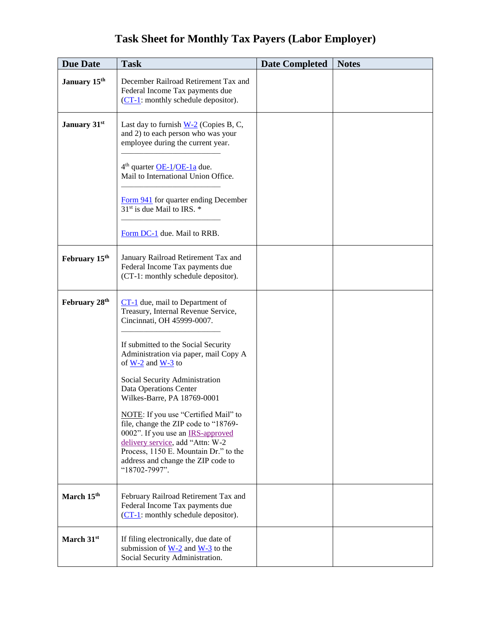|  | <b>Task Sheet for Monthly Tax Payers (Labor Employer)</b> |
|--|-----------------------------------------------------------|
|  |                                                           |

| <b>Due Date</b>        | <b>Task</b>                                                                                                                                                                                                                                                  | <b>Date Completed</b> | <b>Notes</b> |
|------------------------|--------------------------------------------------------------------------------------------------------------------------------------------------------------------------------------------------------------------------------------------------------------|-----------------------|--------------|
| January 15th           | December Railroad Retirement Tax and<br>Federal Income Tax payments due<br>(CT-1: monthly schedule depositor).                                                                                                                                               |                       |              |
| January 31st           | Last day to furnish $W-2$ (Copies B, C,<br>and 2) to each person who was your<br>employee during the current year.                                                                                                                                           |                       |              |
|                        | 4 <sup>th</sup> quarter <u>OE-1/OE-1a</u> due.<br>Mail to International Union Office.                                                                                                                                                                        |                       |              |
|                        | Form 941 for quarter ending December<br>31 <sup>st</sup> is due Mail to IRS. *                                                                                                                                                                               |                       |              |
|                        | Form DC-1 due. Mail to RRB.                                                                                                                                                                                                                                  |                       |              |
| February 15th          | January Railroad Retirement Tax and<br>Federal Income Tax payments due<br>(CT-1: monthly schedule depositor).                                                                                                                                                |                       |              |
| February 28th          | $CT-1$ due, mail to Department of<br>Treasury, Internal Revenue Service,<br>Cincinnati, OH 45999-0007.                                                                                                                                                       |                       |              |
|                        | If submitted to the Social Security<br>Administration via paper, mail Copy A<br>of $\underline{W-2}$ and $\underline{W-3}$ to                                                                                                                                |                       |              |
|                        | Social Security Administration<br>Data Operations Center<br>Wilkes-Barre, PA 18769-0001                                                                                                                                                                      |                       |              |
|                        | NOTE: If you use "Certified Mail" to<br>file, change the ZIP code to "18769-<br>0002". If you use an <b>IRS-approved</b><br>delivery service, add "Attn: W-2<br>Process, 1150 E. Mountain Dr." to the<br>address and change the ZIP code to<br>"18702-7997". |                       |              |
| March 15th             | February Railroad Retirement Tax and<br>Federal Income Tax payments due<br>$(CT-1)$ : monthly schedule depositor).                                                                                                                                           |                       |              |
| March 31 <sup>st</sup> | If filing electronically, due date of<br>submission of $W-2$ and $W-3$ to the<br>Social Security Administration.                                                                                                                                             |                       |              |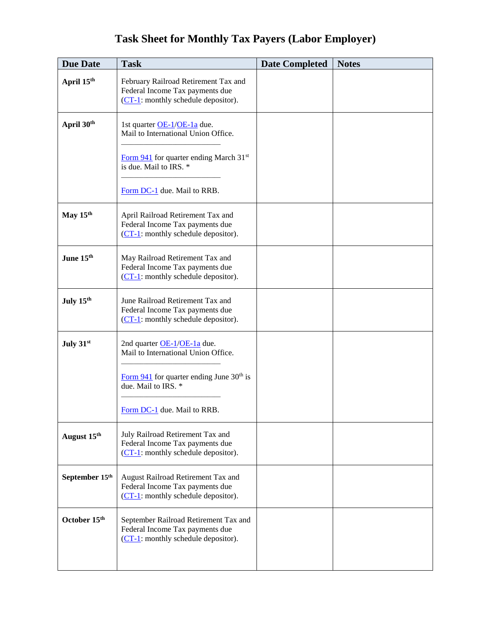## **Task Sheet for Monthly Tax Payers (Labor Employer)**

| <b>Due Date</b>       | <b>Task</b>                                                                                                         | <b>Date Completed</b> | <b>Notes</b> |
|-----------------------|---------------------------------------------------------------------------------------------------------------------|-----------------------|--------------|
| April 15th            | February Railroad Retirement Tax and<br>Federal Income Tax payments due<br>$(CT-1)$ : monthly schedule depositor).  |                       |              |
| April 30th            | 1st quarter OE-1/OE-1a due.<br>Mail to International Union Office.                                                  |                       |              |
|                       | Form $941$ for quarter ending March 31 <sup>st</sup><br>is due. Mail to IRS. *                                      |                       |              |
|                       | Form DC-1 due. Mail to RRB.                                                                                         |                       |              |
| May 15th              | April Railroad Retirement Tax and<br>Federal Income Tax payments due<br>$(CT-1)$ : monthly schedule depositor).     |                       |              |
| June 15th             | May Railroad Retirement Tax and<br>Federal Income Tax payments due<br>$(CT-1)$ : monthly schedule depositor).       |                       |              |
| July 15 <sup>th</sup> | June Railroad Retirement Tax and<br>Federal Income Tax payments due<br>$(CT-1)$ : monthly schedule depositor).      |                       |              |
| July 31st             | 2nd quarter OE-1/OE-1a due.<br>Mail to International Union Office.                                                  |                       |              |
|                       | Form $941$ for quarter ending June 30 <sup>th</sup> is<br>due. Mail to IRS. *                                       |                       |              |
|                       | Form DC-1 due. Mail to RRB.                                                                                         |                       |              |
| August 15th           | July Railroad Retirement Tax and<br>Federal Income Tax payments due<br>$(CT-1)$ : monthly schedule depositor).      |                       |              |
| September 15th        | August Railroad Retirement Tax and<br>Federal Income Tax payments due<br>(CT-1: monthly schedule depositor).        |                       |              |
| October 15th          | September Railroad Retirement Tax and<br>Federal Income Tax payments due<br>$(CT-1)$ : monthly schedule depositor). |                       |              |